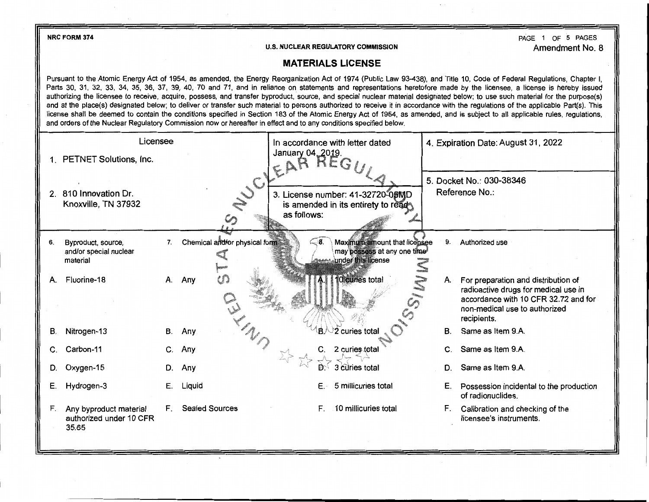

## **U.S. NUCLEAR REGULATORY COMMISSION**

PAGE 1 OF 5 PAGES Amendment No. 8

## **MATERIALS LICENSE**

Pursuant to the Atomic Energy Act of 1954, as amended, the Energy Reorganization Act of 1974 (Public Law 93-438), and Title 10, Code of Federal Regulations, Chapter I, Parts 30, 31, 32, 33, 34, 35, 36, 37, 39, 40, 70 and 71, and in reliance on statements and representations heretofore made by the licensee, a license is hereby issued authorizing the licensee to receive, acquire, possess, and transfer byproduct, source, and special nuclear material designated below; to use such material for the purpose(s) and at the place(s) designated below; to deliver or transfer such material to persons authorized to receive it in accordance with the regulations of the applicable Part(s). This license shall be deemed to contain the conditions specified in Section 183 of the Atomic Energy Act of 1954, as amended, and is subject to all applicable rules, regulations, and orders of the Nuclear Regulatory Commission now or hereafter in effect and to any conditions specified below.

|    | Licensee                                                   |    |                               |                          | In accordance with letter dated                                                    |    | 4. Expiration Date: August 31, 2022                                                  |
|----|------------------------------------------------------------|----|-------------------------------|--------------------------|------------------------------------------------------------------------------------|----|--------------------------------------------------------------------------------------|
|    | 1. PETNET Solutions, Inc.                                  |    |                               | January 04, 2019.<br>EAR | HEGI                                                                               |    |                                                                                      |
|    | 2. 810 Innovation Dr.                                      |    | NUC'                          |                          | 3. License number: 41-32720-05MD                                                   |    | 5. Docket No.: 030-38346<br>Reference No.:                                           |
|    | Knoxville, TN 37932                                        |    |                               | as follows:              | is amended in its entirety to read                                                 |    |                                                                                      |
| 6. | Byproduct, source,<br>and/or special nuclear<br>material   | 7. | Chemical and/or physical form | ⊂8.                      | Maximum amount that licensee<br>may possess at any one time!<br>under this license | 9. | Authorized use                                                                       |
| А. | Fluorine-18                                                | А. | M<br>Any                      |                          | 10 curies total                                                                    | A. | For preparation and distribution of<br>radioactive drugs for medical use in          |
|    |                                                            |    |                               |                          |                                                                                    |    | accordance with 10 CFR 32.72 and for<br>non-medical use to authorized<br>recipients. |
| В. | Nitrogen-13                                                | В. | Any                           |                          | .<br>B. ⁄்2 curies total                                                           | B. | Same as Item 9.A.                                                                    |
| C. | Carbon-11                                                  | C. | Any                           |                          | 2 curies total                                                                     |    | Same as Item 9.A.                                                                    |
| D. | Oxygen-15                                                  | D. | Any                           | $D^{n_{b_1}}$            | 3 curies total                                                                     | D. | Same as Item 9.A.                                                                    |
| Е. | Hydrogen-3                                                 | Е. | Liquid                        | Е.                       | 5 millicuries total                                                                | Е. | Possession incidental to the production<br>of radionuclides.                         |
| F. | Any byproduct material<br>authorized under 10 CFR<br>35.65 | F. | <b>Sealed Sources</b>         | F.                       | 10 millicuries total                                                               | F. | Calibration and checking of the<br>licensee's instruments.                           |
|    |                                                            |    |                               |                          |                                                                                    |    |                                                                                      |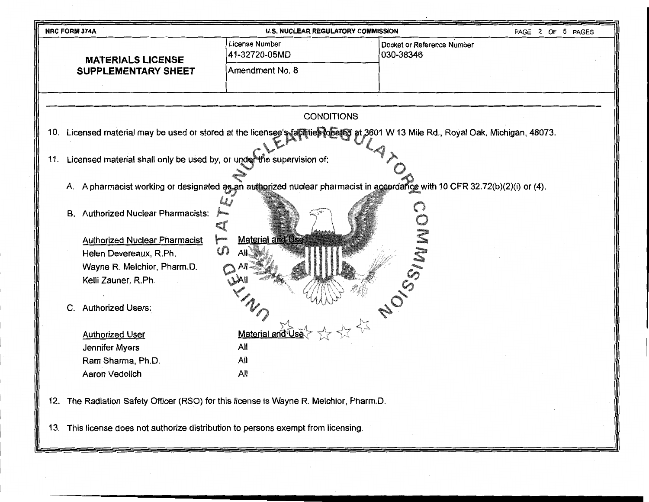| NRC FORM 374A                                                                                                                       | <b>U.S. NUCLEAR REGULATORY COMMISSION</b>                                                                                  |                                         | PAGE 2 OF 5 PAGES |
|-------------------------------------------------------------------------------------------------------------------------------------|----------------------------------------------------------------------------------------------------------------------------|-----------------------------------------|-------------------|
| <b>MATERIALS LICENSE</b>                                                                                                            | License Number<br>41-32720-05MD                                                                                            | Docket or Reference Number<br>030-38346 |                   |
| <b>SUPPLEMENTARY SHEET</b>                                                                                                          | Amendment No. 8                                                                                                            |                                         |                   |
|                                                                                                                                     |                                                                                                                            |                                         |                   |
|                                                                                                                                     | <b>CONDITIONS</b>                                                                                                          |                                         |                   |
| 10. Licensed material may be used or stored at the licensee's facilities located at 3601 W 13 Mile Rd., Royal Oak, Michigan, 48073. |                                                                                                                            |                                         |                   |
| 11. Licensed material shall only be used by, or under the supervision of:                                                           |                                                                                                                            |                                         |                   |
|                                                                                                                                     | A. A pharmacist working or designated as an authorized nuclear pharmacist in accordance with 10 CFR 32.72(b)(2)(i) or (4). |                                         |                   |
| <b>B.</b> Authorized Nuclear Pharmacists:                                                                                           |                                                                                                                            |                                         |                   |
| <b>Authorized Nuclear Pharmacist</b>                                                                                                | <b>Material and Use</b>                                                                                                    |                                         |                   |
| Helen Devereaux, R.Ph.<br>Wayne R. Melchior, Pharm.D.                                                                               |                                                                                                                            |                                         |                   |
| Kelli Zauner, R.Ph.                                                                                                                 |                                                                                                                            |                                         |                   |
| C. Authorized Users:                                                                                                                |                                                                                                                            | 20 SSIMMI                               |                   |
| <b>Authorized User</b>                                                                                                              | Material and                                                                                                               |                                         |                   |
| Jennifer Myers                                                                                                                      | All                                                                                                                        |                                         |                   |
| Ram Sharma, Ph.D.                                                                                                                   | All                                                                                                                        |                                         |                   |
| Aaron Vedolich                                                                                                                      | All                                                                                                                        |                                         |                   |
| 12. The Radiation Safety Officer (RSO) for this license is Wayne R. Melchior, Pharm.D.                                              |                                                                                                                            |                                         |                   |
| 13. This license does not authorize distribution to persons exempt from licensing.                                                  |                                                                                                                            |                                         |                   |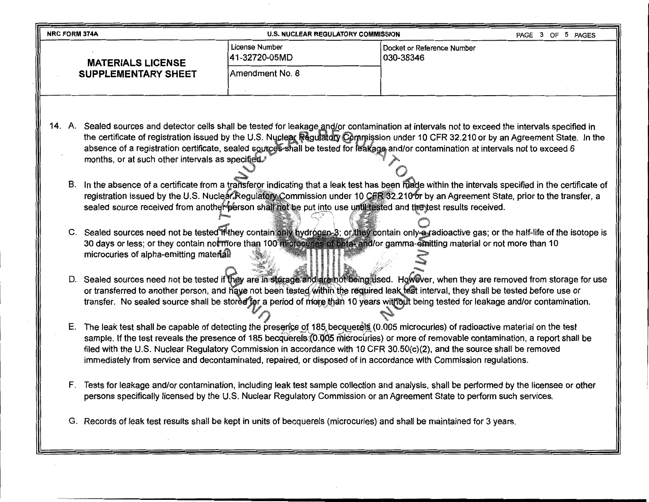| <b>NRC FORM 374A</b><br><b>U.S. NUCLEAR REGULATORY COMMISSION</b><br>PAGE 3 OF 5 PAGES                                                                                                                                                                                                                                                                                                                          |                                                                                                                         |                                                                                                                                                                                                                                                                                                                                                                                                                                 |  |  |
|-----------------------------------------------------------------------------------------------------------------------------------------------------------------------------------------------------------------------------------------------------------------------------------------------------------------------------------------------------------------------------------------------------------------|-------------------------------------------------------------------------------------------------------------------------|---------------------------------------------------------------------------------------------------------------------------------------------------------------------------------------------------------------------------------------------------------------------------------------------------------------------------------------------------------------------------------------------------------------------------------|--|--|
| <b>MATERIALS LICENSE</b>                                                                                                                                                                                                                                                                                                                                                                                        | License Number<br>41-32720-05MD                                                                                         | Docket or Reference Number<br>030-38346                                                                                                                                                                                                                                                                                                                                                                                         |  |  |
| <b>SUPPLEMENTARY SHEET</b>                                                                                                                                                                                                                                                                                                                                                                                      | Amendment No. 8                                                                                                         |                                                                                                                                                                                                                                                                                                                                                                                                                                 |  |  |
|                                                                                                                                                                                                                                                                                                                                                                                                                 |                                                                                                                         |                                                                                                                                                                                                                                                                                                                                                                                                                                 |  |  |
|                                                                                                                                                                                                                                                                                                                                                                                                                 |                                                                                                                         |                                                                                                                                                                                                                                                                                                                                                                                                                                 |  |  |
| months, or at such other intervals as specified.                                                                                                                                                                                                                                                                                                                                                                |                                                                                                                         | 14. A. Sealed sources and detector cells shall be tested for leakage and/or contamination at intervals not to exceed the intervals specified in<br>the certificate of registration issued by the U.S. Nuclear Regulatory Commission under 10 CFR 32.210 or by an Agreement State. In the<br>absence of a registration certificate, sealed sources shall be tested for leakage and/or contamination at intervals not to exceed 6 |  |  |
| B. In the absence of a certificate from a transferor indicating that a leak test has been made within the intervals specified in the certificate of<br>registration issued by the U.S. Nuclear Regulatory Commission under 10 CFR 32.210 or by an Agreement State, prior to the transfer, a<br>sealed source received from another person shall not be put into use until tested and the test results received. |                                                                                                                         |                                                                                                                                                                                                                                                                                                                                                                                                                                 |  |  |
| microcuries of alpha-emitting material.                                                                                                                                                                                                                                                                                                                                                                         |                                                                                                                         | C. Sealed sources need not be tested if they contain only hydrogen-3; or they contain only-a-radioactive gas; or the half-life of the isotope is<br>30 days or less; or they contain not more than 100 microcuries of beta- and/or gamma-emitting material or not more than 10                                                                                                                                                  |  |  |
|                                                                                                                                                                                                                                                                                                                                                                                                                 |                                                                                                                         | D. Sealed sources need not be tested if they are in starage and are not being used. However, when they are removed from storage for use<br>or transferred to another person, and have not been tested within the required leak test interval, they shall be tested before use or<br>transfer. No sealed source shall be stored for a period of more than 10 years without being tested for leakage and/or contamination.        |  |  |
|                                                                                                                                                                                                                                                                                                                                                                                                                 | immediately from service and decontaminated, repaired, or disposed of in accordance with Commission regulations.        | E. The leak test shall be capable of detecting the presence of 185 becquerets (0.005 microcuries) of radioactive material on the test<br>sample. If the test reveals the presence of 185 becquerels (0.005 microcuries) or more of removable contamination, a report shall be<br>filed with the U.S. Nuclear Regulatory Commission in accordance with 10 CFR 30.50(c)(2), and the source shall be removed                       |  |  |
|                                                                                                                                                                                                                                                                                                                                                                                                                 |                                                                                                                         | F. Tests for leakage and/or contamination, including leak test sample collection and analysis, shall be performed by the licensee or other<br>persons specifically licensed by the U.S. Nuclear Regulatory Commission or an Agreement State to perform such services.                                                                                                                                                           |  |  |
|                                                                                                                                                                                                                                                                                                                                                                                                                 | G. Records of leak test results shall be kept in units of becquerels (microcuries) and shall be maintained for 3 years. |                                                                                                                                                                                                                                                                                                                                                                                                                                 |  |  |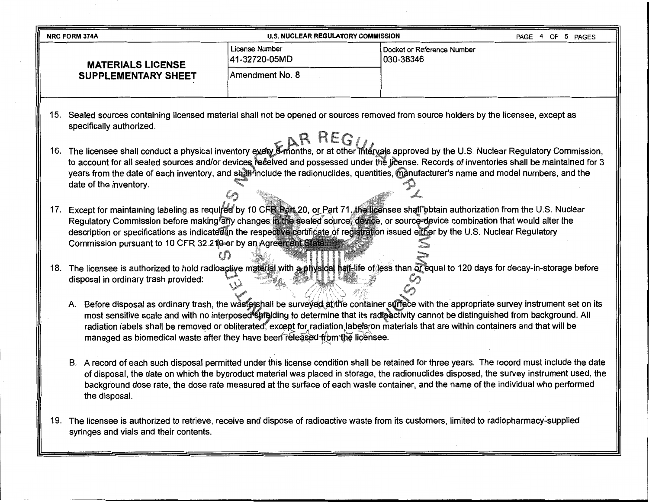|     | <b>NRC FORM 374A</b>                                                                                                                                                                        | <b>U.S. NUCLEAR REGULATORY COMMISSION</b>                                    | PAGE 4 OF 5 PAGES                                                                                                                                                                                                                                                                                                                                                                                                                  |  |  |
|-----|---------------------------------------------------------------------------------------------------------------------------------------------------------------------------------------------|------------------------------------------------------------------------------|------------------------------------------------------------------------------------------------------------------------------------------------------------------------------------------------------------------------------------------------------------------------------------------------------------------------------------------------------------------------------------------------------------------------------------|--|--|
|     | <b>MATERIALS LICENSE</b>                                                                                                                                                                    | License Number<br>41-32720-05MD                                              | Docket or Reference Number<br>030-38346                                                                                                                                                                                                                                                                                                                                                                                            |  |  |
|     | <b>SUPPLEMENTARY SHEET</b>                                                                                                                                                                  | Amendment No. 8                                                              |                                                                                                                                                                                                                                                                                                                                                                                                                                    |  |  |
|     | specifically authorized.                                                                                                                                                                    |                                                                              | 15. Sealed sources containing licensed material shall not be opened or sources removed from source holders by the licensee, except as                                                                                                                                                                                                                                                                                              |  |  |
| 16. | date of the inventory.                                                                                                                                                                      |                                                                              | The licensee shall conduct a physical inventory every 6-months, or at other intervals approved by the U.S. Nuclear Regulatory Commission,<br>to account for all sealed sources and/or devices received and possessed under the license. Records of inventories shall be maintained for 3<br>years from the date of each inventory, and shall include the radionuclides, quantities, manufacturer's name and model numbers, and the |  |  |
|     | Commission pursuant to 10 CFR 32.210 or by an Agreement State                                                                                                                               |                                                                              | 17. Except for maintaining labeling as required by 10 CFR Part 20, or Part 71, the licensee shall obtain authorization from the U.S. Nuclear<br>Regulatory Commission before making any changes in the sealed source, device, or source-device combination that would alter the<br>description or specifications as indicated in the respective certificate of registration issued either by the U.S. Nuclear Regulatory           |  |  |
|     | 18. The licensee is authorized to hold radioactive material with a physical half-life of less than of equal to 120 days for decay-in-storage before<br>disposal in ordinary trash provided: |                                                                              |                                                                                                                                                                                                                                                                                                                                                                                                                                    |  |  |
|     |                                                                                                                                                                                             | managed as biomedical waste after they have been released from the licensee. | A. Before disposal as ordinary trash, the wastershall be surveyed at the container surface with the appropriate survey instrument set on its<br>most sensitive scale and with no interposed shielding to determine that its radioactivity cannot be distinguished from background. All<br>radiation labels shall be removed or obliterated, except for radiation labels on materials that are within containers and that will be   |  |  |
|     | the disposal.                                                                                                                                                                               |                                                                              | B. A record of each such disposal permitted under this license condition shall be retained for three years. The record must include the date<br>of disposal, the date on which the byproduct material was placed in storage, the radionuclides disposed, the survey instrument used, the<br>background dose rate, the dose rate measured at the surface of each waste container, and the name of the individual who performed      |  |  |
|     | syringes and vials and their contents.                                                                                                                                                      |                                                                              | 19. The licensee is authorized to retrieve, receive and dispose of radioactive waste from its customers, limited to radiopharmacy-supplied                                                                                                                                                                                                                                                                                         |  |  |

 $\sim 10$